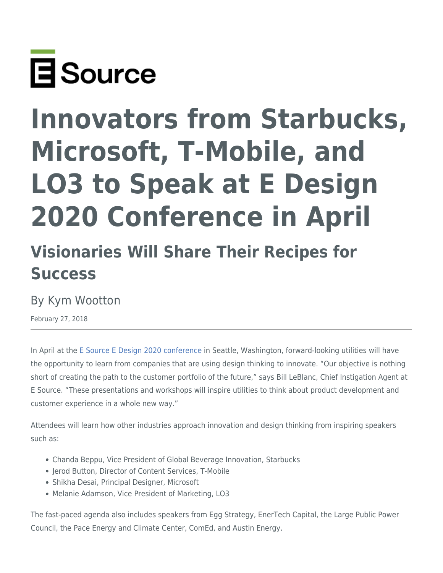

# **Innovators from Starbucks, Microsoft, T-Mobile, and LO3 to Speak at E Design 2020 Conference in April**

## **Visionaries Will Share Their Recipes for Success**

## By Kym Wootton

February 27, 2018

In April at the [E Source E Design 2020 conference](https://www.esource.com/edesign2020) in Seattle, Washington, forward-looking utilities will have the opportunity to learn from companies that are using design thinking to innovate. "Our objective is nothing short of creating the path to the customer portfolio of the future," says Bill LeBlanc, Chief Instigation Agent at E Source. "These presentations and workshops will inspire utilities to think about product development and customer experience in a whole new way."

Attendees will learn how other industries approach innovation and design thinking from inspiring speakers such as:

- Chanda Beppu, Vice President of Global Beverage Innovation, Starbucks
- Jerod Button, Director of Content Services, T-Mobile
- Shikha Desai, Principal Designer, Microsoft
- Melanie Adamson, Vice President of Marketing, LO3

The fast-paced agenda also includes speakers from Egg Strategy, EnerTech Capital, the Large Public Power Council, the Pace Energy and Climate Center, ComEd, and Austin Energy.